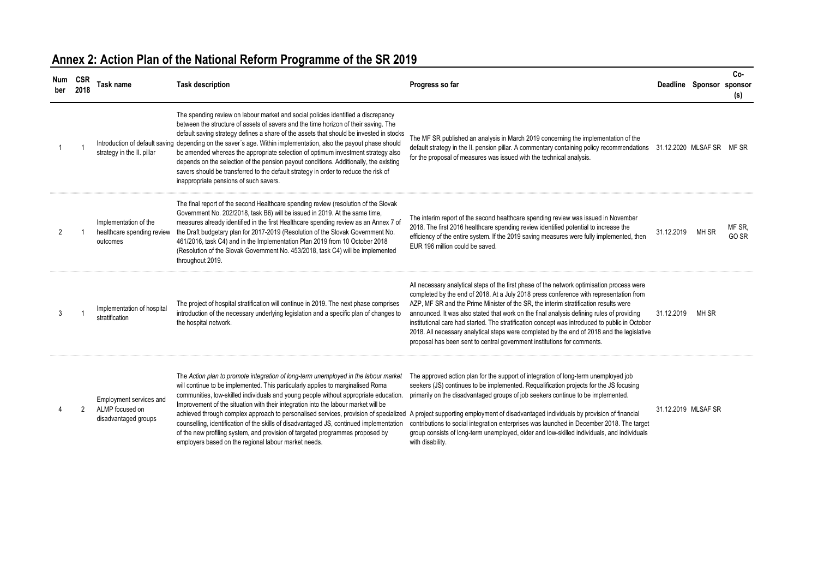| Num<br>ber | <b>CSR</b><br>2018 | Task name                                                          | <b>Task description</b>                                                                                                                                                                                                                                                                                                                                                                                                                                                                                                                                                                                                                                                                                                                                                 | Progress so far                                                                                                                                                                                                                                                                                                                                                                                                                                                                                                                                                                                                                                      | Deadline Sponsor sponsor |       | Co-<br>(s)      |
|------------|--------------------|--------------------------------------------------------------------|-------------------------------------------------------------------------------------------------------------------------------------------------------------------------------------------------------------------------------------------------------------------------------------------------------------------------------------------------------------------------------------------------------------------------------------------------------------------------------------------------------------------------------------------------------------------------------------------------------------------------------------------------------------------------------------------------------------------------------------------------------------------------|------------------------------------------------------------------------------------------------------------------------------------------------------------------------------------------------------------------------------------------------------------------------------------------------------------------------------------------------------------------------------------------------------------------------------------------------------------------------------------------------------------------------------------------------------------------------------------------------------------------------------------------------------|--------------------------|-------|-----------------|
|            |                    | strategy in the II. pillar                                         | The spending review on labour market and social policies identified a discrepancy<br>between the structure of assets of savers and the time horizon of their saving. The<br>default saving strategy defines a share of the assets that should be invested in stocks<br>Introduction of default saving depending on the saver's age. Within implementation, also the payout phase should<br>be amended whereas the appropriate selection of optimum investment strategy also<br>depends on the selection of the pension payout conditions. Additionally, the existing<br>savers should be transferred to the default strategy in order to reduce the risk of<br>inappropriate pensions of such savers.                                                                   | The MF SR published an analysis in March 2019 concerning the implementation of the<br>default strategy in the II. pension pillar. A commentary containing policy recommendations 31.12.2020 MLSAF SR MF SR<br>for the proposal of measures was issued with the technical analysis.                                                                                                                                                                                                                                                                                                                                                                   |                          |       |                 |
| 2          |                    | Implementation of the<br>healthcare spending review<br>outcomes    | The final report of the second Healthcare spending review (resolution of the Slovak<br>Government No. 202/2018, task B6) will be issued in 2019. At the same time,<br>measures already identified in the first Healthcare spending review as an Annex 7 of<br>the Draft budgetary plan for 2017-2019 (Resolution of the Slovak Government No.<br>461/2016, task C4) and in the Implementation Plan 2019 from 10 October 2018<br>(Resolution of the Slovak Government No. 453/2018, task C4) will be implemented<br>throughout 2019.                                                                                                                                                                                                                                     | The interim report of the second healthcare spending review was issued in November<br>2018. The first 2016 healthcare spending review identified potential to increase the<br>efficiency of the entire system. If the 2019 saving measures were fully implemented, then<br>EUR 196 million could be saved.                                                                                                                                                                                                                                                                                                                                           | 31.12.2019               | MH SR | MF SR.<br>GO SR |
| 3          |                    | Implementation of hospital<br>stratification                       | The project of hospital stratification will continue in 2019. The next phase comprises<br>introduction of the necessary underlying legislation and a specific plan of changes to<br>the hospital network.                                                                                                                                                                                                                                                                                                                                                                                                                                                                                                                                                               | All necessary analytical steps of the first phase of the network optimisation process were<br>completed by the end of 2018. At a July 2018 press conference with representation from<br>AZP. MF SR and the Prime Minister of the SR, the interim stratification results were<br>announced. It was also stated that work on the final analysis defining rules of providing<br>institutional care had started. The stratification concept was introduced to public in October<br>2018. All necessary analytical steps were completed by the end of 2018 and the legislative<br>proposal has been sent to central government institutions for comments. | 31.12.2019               | MH SR |                 |
|            | 2                  | Employment services and<br>ALMP focused on<br>disadvantaged groups | The Action plan to promote integration of long-term unemployed in the labour market<br>will continue to be implemented. This particularly applies to marginalised Roma<br>communities, low-skilled individuals and young people without appropriate education.<br>Improvement of the situation with their integration into the labour market will be<br>achieved through complex approach to personalised services, provision of specialized A project supporting employment of disadvantaged individuals by provision of financial<br>counselling, identification of the skills of disadvantaged JS, continued implementation<br>of the new profiling system, and provision of targeted programmes proposed by<br>employers based on the regional labour market needs. | The approved action plan for the support of integration of long-term unemployed job<br>seekers (JS) continues to be implemented. Requalification projects for the JS focusing<br>primarily on the disadvantaged groups of job seekers continue to be implemented.<br>contributions to social integration enterprises was launched in December 2018. The target<br>group consists of long-term unemployed, older and low-skilled individuals, and individuals<br>with disability.                                                                                                                                                                     | 31.12.2019 MLSAF SR      |       |                 |

# **Annex 2: Action Plan of the National Reform Programme of the SR 2019**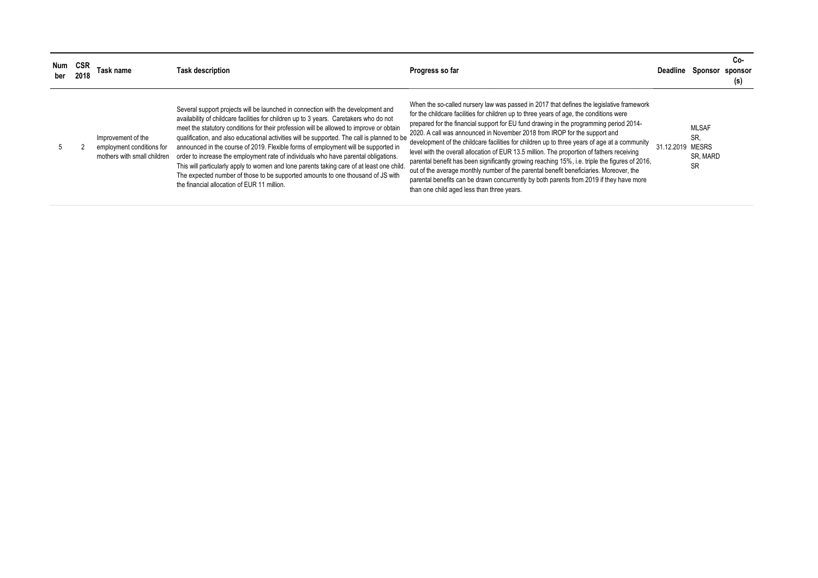| Num | <b>CSR</b><br>2018 | Task name                                                                      | <b>Task description</b>                                                                                                                                                                                                                                                                                                                                                                                                                                                                                                                                                                                                                                                                                                                                                         | Progress so far                                                                                                                                                                                                                                                                                                                                                                                                                                                                                                                                                                                                                                                                                                                                                                                                                                                                               | Deadline         | Sponsor                               | Co-<br>sponsor<br>(s) |
|-----|--------------------|--------------------------------------------------------------------------------|---------------------------------------------------------------------------------------------------------------------------------------------------------------------------------------------------------------------------------------------------------------------------------------------------------------------------------------------------------------------------------------------------------------------------------------------------------------------------------------------------------------------------------------------------------------------------------------------------------------------------------------------------------------------------------------------------------------------------------------------------------------------------------|-----------------------------------------------------------------------------------------------------------------------------------------------------------------------------------------------------------------------------------------------------------------------------------------------------------------------------------------------------------------------------------------------------------------------------------------------------------------------------------------------------------------------------------------------------------------------------------------------------------------------------------------------------------------------------------------------------------------------------------------------------------------------------------------------------------------------------------------------------------------------------------------------|------------------|---------------------------------------|-----------------------|
|     |                    | Improvement of the<br>employment conditions for<br>mothers with small children | Several support projects will be launched in connection with the development and<br>availability of childcare facilities for children up to 3 years. Caretakers who do not<br>meet the statutory conditions for their profession will be allowed to improve or obtain<br>qualification, and also educational activities will be supported. The call is planned to be<br>announced in the course of 2019. Flexible forms of employment will be supported in<br>order to increase the employment rate of individuals who have parental obligations.<br>This will particularly apply to women and lone parents taking care of at least one child<br>The expected number of those to be supported amounts to one thousand of JS with<br>the financial allocation of EUR 11 million. | When the so-called nursery law was passed in 2017 that defines the legislative framework<br>for the childcare facilities for children up to three years of age, the conditions were<br>prepared for the financial support for EU fund drawing in the programming period 2014-<br>2020. A call was announced in November 2018 from IROP for the support and<br>development of the childcare facilities for children up to three years of age at a community<br>level with the overall allocation of EUR 13.5 million. The proportion of fathers receiving<br>parental benefit has been significantly growing reaching 15%, i.e. triple the figures of 2016,<br>out of the average monthly number of the parental benefit beneficiaries. Moreover, the<br>parental benefits can be drawn concurrently by both parents from 2019 if they have more<br>than one child aged less than three years. | 31.12.2019 MESRS | <b>MLSAF</b><br>SR.<br>SR. MARD<br>SR |                       |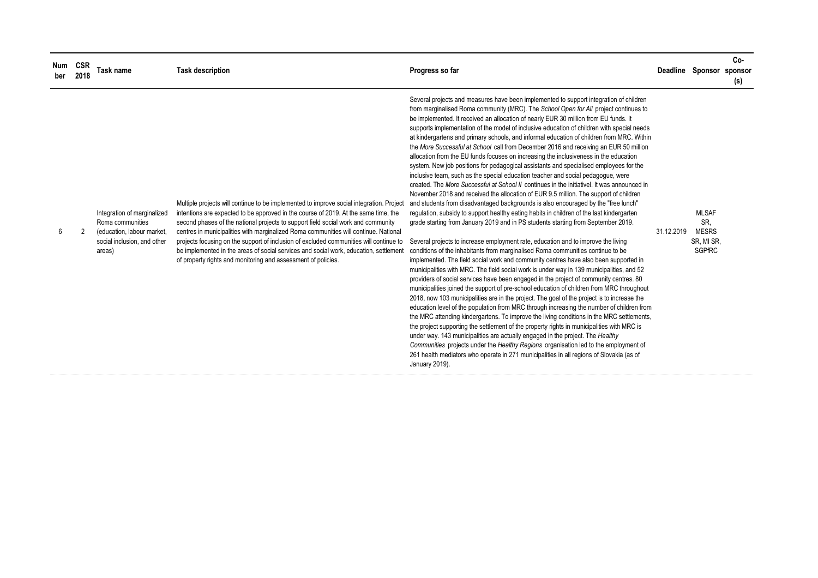| Num<br>ber | <b>CSR</b><br>2018 | Task name                                                                                                              | <b>Task description</b>                                                                                                                                                                                                                                                                                                                                                                                                                                                                                                                                                                                          | Progress so far                                                                                                                                                                                                                                                                                                                                                                                                                                                                                                                                                                                                                                                                                                                                                                                                                                                                                                                                                                                                                                                                                                                                                                                                                                                                                                                                                                                                                                                                                                                                                                                                                                                                                                                                                                                                                                                                                                                                                                                                                                                                                                                                                                                                                                                                                                                                                                                                                                                                                                                      |            | Deadline Sponsor sponsor                                           | Co-<br>(s) |
|------------|--------------------|------------------------------------------------------------------------------------------------------------------------|------------------------------------------------------------------------------------------------------------------------------------------------------------------------------------------------------------------------------------------------------------------------------------------------------------------------------------------------------------------------------------------------------------------------------------------------------------------------------------------------------------------------------------------------------------------------------------------------------------------|--------------------------------------------------------------------------------------------------------------------------------------------------------------------------------------------------------------------------------------------------------------------------------------------------------------------------------------------------------------------------------------------------------------------------------------------------------------------------------------------------------------------------------------------------------------------------------------------------------------------------------------------------------------------------------------------------------------------------------------------------------------------------------------------------------------------------------------------------------------------------------------------------------------------------------------------------------------------------------------------------------------------------------------------------------------------------------------------------------------------------------------------------------------------------------------------------------------------------------------------------------------------------------------------------------------------------------------------------------------------------------------------------------------------------------------------------------------------------------------------------------------------------------------------------------------------------------------------------------------------------------------------------------------------------------------------------------------------------------------------------------------------------------------------------------------------------------------------------------------------------------------------------------------------------------------------------------------------------------------------------------------------------------------------------------------------------------------------------------------------------------------------------------------------------------------------------------------------------------------------------------------------------------------------------------------------------------------------------------------------------------------------------------------------------------------------------------------------------------------------------------------------------------------|------------|--------------------------------------------------------------------|------------|
| 6          |                    | Integration of marginalized<br>Roma communities<br>(education, labour market,<br>social inclusion, and other<br>areas) | Multiple projects will continue to be implemented to improve social integration. Project<br>intentions are expected to be approved in the course of 2019. At the same time, the<br>second phases of the national projects to support field social work and community<br>centres in municipalities with marginalized Roma communities will continue. National<br>projects focusing on the support of inclusion of excluded communities will continue to<br>be implemented in the areas of social services and social work, education, settlement<br>of property rights and monitoring and assessment of policies. | Several projects and measures have been implemented to support integration of children<br>from marginalised Roma community (MRC). The School Open for All project continues to<br>be implemented. It received an allocation of nearly EUR 30 million from EU funds. It<br>supports implementation of the model of inclusive education of children with special needs<br>at kindergartens and primary schools, and informal education of children from MRC. Within<br>the More Successful at School call from December 2016 and receiving an EUR 50 million<br>allocation from the EU funds focuses on increasing the inclusiveness in the education<br>system. New job positions for pedagogical assistants and specialised employees for the<br>inclusive team, such as the special education teacher and social pedagogue, were<br>created. The More Successful at School II continues in the initiativel. It was announced in<br>November 2018 and received the allocation of EUR 9.5 million. The support of children<br>and students from disadvantaged backgrounds is also encouraged by the "free lunch"<br>regulation, subsidy to support healthy eating habits in children of the last kindergarten<br>grade starting from January 2019 and in PS students starting from September 2019.<br>Several projects to increase employment rate, education and to improve the living<br>conditions of the inhabitants from marginalised Roma communities continue to be<br>implemented. The field social work and community centres have also been supported in<br>municipalities with MRC. The field social work is under way in 139 municipalities, and 52<br>providers of social services have been engaged in the project of community centres. 80<br>municipalities joined the support of pre-school education of children from MRC throughout<br>2018, now 103 municipalities are in the project. The goal of the project is to increase the<br>education level of the population from MRC through increasing the number of children from<br>the MRC attending kindergartens. To improve the living conditions in the MRC settlements,<br>the project supporting the settlement of the property rights in municipalities with MRC is<br>under way. 143 municipalities are actually engaged in the project. The Healthy<br>Communities projects under the Healthy Regions organisation led to the employment of<br>261 health mediators who operate in 271 municipalities in all regions of Slovakia (as of<br>January 2019). | 31.12.2019 | <b>MLSAF</b><br>SR.<br><b>MESRS</b><br>SR, MI SR,<br><b>SGPfRC</b> |            |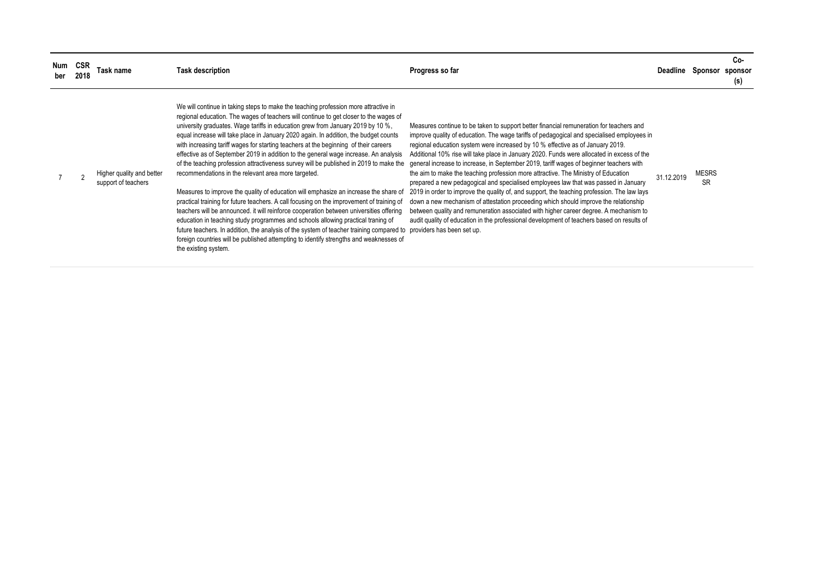| Num<br>ber | <b>CSP</b><br>2018 | Гаsk name                                        | <b>Task description</b>                                                                                                                                                                                                                                                                                                                                                                                                                                                                                                                                                                                                                                                                                                                                                                                                                                                                                                                                                                                                                                                                                                                                                                                                                                                    | Progress so far                                                                                                                                                                                                                                                                                                                                                                                                                                                                                                                                                                                                                                                                                                                                                                                                                                                                                                                                                                                                                                           | Deadline   | Sponsor                   | Co-<br>sponsor<br>(s) |
|------------|--------------------|--------------------------------------------------|----------------------------------------------------------------------------------------------------------------------------------------------------------------------------------------------------------------------------------------------------------------------------------------------------------------------------------------------------------------------------------------------------------------------------------------------------------------------------------------------------------------------------------------------------------------------------------------------------------------------------------------------------------------------------------------------------------------------------------------------------------------------------------------------------------------------------------------------------------------------------------------------------------------------------------------------------------------------------------------------------------------------------------------------------------------------------------------------------------------------------------------------------------------------------------------------------------------------------------------------------------------------------|-----------------------------------------------------------------------------------------------------------------------------------------------------------------------------------------------------------------------------------------------------------------------------------------------------------------------------------------------------------------------------------------------------------------------------------------------------------------------------------------------------------------------------------------------------------------------------------------------------------------------------------------------------------------------------------------------------------------------------------------------------------------------------------------------------------------------------------------------------------------------------------------------------------------------------------------------------------------------------------------------------------------------------------------------------------|------------|---------------------------|-----------------------|
|            |                    | Higher quality and better<br>support of teachers | We will continue in taking steps to make the teaching profession more attractive in<br>regional education. The wages of teachers will continue to get closer to the wages of<br>university graduates. Wage tariffs in education grew from January 2019 by 10 %,<br>equal increase will take place in January 2020 again. In addition, the budget counts<br>with increasing tariff wages for starting teachers at the beginning of their careers<br>effective as of September 2019 in addition to the general wage increase. An analysis<br>of the teaching profession attractiveness survey will be published in 2019 to make the<br>recommendations in the relevant area more targeted.<br>Measures to improve the quality of education will emphasize an increase the share of<br>practical training for future teachers. A call focusing on the improvement of training of<br>teachers will be announced. it will reinforce cooperation between universities offering<br>education in teaching study programmes and schools allowing practical traning of<br>future teachers. In addition, the analysis of the system of teacher training compared to<br>foreign countries will be published attempting to identify strengths and weaknesses of<br>the existing system. | Measures continue to be taken to support better financial remuneration for teachers and<br>improve quality of education. The wage tariffs of pedagogical and specialised employees in<br>regional education system were increased by 10 % effective as of January 2019.<br>Additional 10% rise will take place in January 2020. Funds were allocated in excess of the<br>general increase to increase, in September 2019, tariff wages of beginner teachers with<br>the aim to make the teaching profession more attractive. The Ministry of Education<br>prepared a new pedagogical and specialised employees law that was passed in January<br>2019 in order to improve the quality of, and support, the teaching profession. The law lays<br>down a new mechanism of attestation proceeding which should improve the relationship<br>between quality and remuneration associated with higher career degree. A mechanism to<br>audit quality of education in the professional development of teachers based on results of<br>providers has been set up. | 31.12.2019 | <b>MESRS</b><br><b>SR</b> |                       |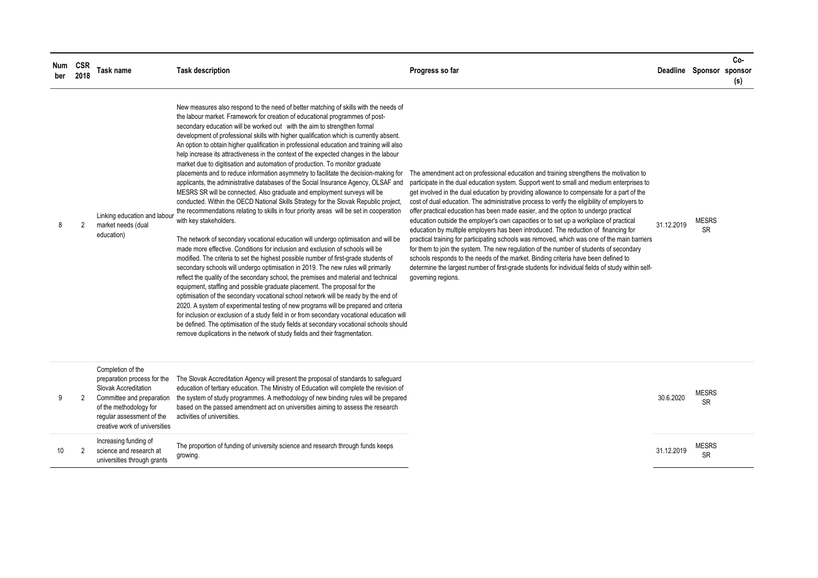| Num<br>ber | <b>CSR</b><br>2018 | <b>Task name</b>                                                                                                                                                                              | <b>Task description</b>                                                                                                                                                                                                                                                                                                                                                                                                                                                                                                                                                                                                                                                                                                                                                                                                                                                                                                                                                                                                                                                                                                                                                                                                                                                                                                                                                                                                                                                                                                                                                                                                                                                                                                                                                                                                                                                                                                                                                                                                                                                     | Progress so far                                                                                                                                                                                                                                                                                                                                                                                                                                                                                                                                                                                                                                                                                                                                                                                                                                                                                                                                                                                                                                                   |            | Deadline Sponsor sponsor  | Co-<br>(s) |
|------------|--------------------|-----------------------------------------------------------------------------------------------------------------------------------------------------------------------------------------------|-----------------------------------------------------------------------------------------------------------------------------------------------------------------------------------------------------------------------------------------------------------------------------------------------------------------------------------------------------------------------------------------------------------------------------------------------------------------------------------------------------------------------------------------------------------------------------------------------------------------------------------------------------------------------------------------------------------------------------------------------------------------------------------------------------------------------------------------------------------------------------------------------------------------------------------------------------------------------------------------------------------------------------------------------------------------------------------------------------------------------------------------------------------------------------------------------------------------------------------------------------------------------------------------------------------------------------------------------------------------------------------------------------------------------------------------------------------------------------------------------------------------------------------------------------------------------------------------------------------------------------------------------------------------------------------------------------------------------------------------------------------------------------------------------------------------------------------------------------------------------------------------------------------------------------------------------------------------------------------------------------------------------------------------------------------------------------|-------------------------------------------------------------------------------------------------------------------------------------------------------------------------------------------------------------------------------------------------------------------------------------------------------------------------------------------------------------------------------------------------------------------------------------------------------------------------------------------------------------------------------------------------------------------------------------------------------------------------------------------------------------------------------------------------------------------------------------------------------------------------------------------------------------------------------------------------------------------------------------------------------------------------------------------------------------------------------------------------------------------------------------------------------------------|------------|---------------------------|------------|
| 8          | 2                  | Linking education and labour<br>market needs (dual<br>education)                                                                                                                              | New measures also respond to the need of better matching of skills with the needs of<br>the labour market. Framework for creation of educational programmes of post-<br>secondary education will be worked out with the aim to strengthen formal<br>development of professional skills with higher qualification which is currently absent.<br>An option to obtain higher qualification in professional education and training will also<br>help increase its attractiveness in the context of the expected changes in the labour<br>market due to digitisation and automation of production. To monitor graduate<br>placements and to reduce information asymmetry to facilitate the decision-making for<br>applicants, the administrative databases of the Social Insurance Agency, OLSAF and<br>MESRS SR will be connected. Also graduate and employment surveys will be<br>conducted. Within the OECD National Skills Strategy for the Slovak Republic project,<br>the recommendations relating to skills in four priority areas will be set in cooperation<br>with key stakeholders.<br>The network of secondary vocational education will undergo optimisation and will be<br>made more effective. Conditions for inclusion and exclusion of schools will be<br>modified. The criteria to set the highest possible number of first-grade students of<br>secondary schools will undergo optimisation in 2019. The new rules will primarily<br>reflect the quality of the secondary school, the premises and material and technical<br>equipment, staffing and possible graduate placement. The proposal for the<br>optimisation of the secondary vocational school network will be ready by the end of<br>2020. A system of experimental testing of new programs will be prepared and criteria<br>for inclusion or exclusion of a study field in or from secondary vocational education will<br>be defined. The optimisation of the study fields at secondary vocational schools should<br>remove duplications in the network of study fields and their fragmentation. | The amendment act on professional education and training strengthens the motivation to<br>participate in the dual education system. Support went to small and medium enterprises to<br>get involved in the dual education by providing allowance to compensate for a part of the<br>cost of dual education. The administrative process to verify the eligibility of employers to<br>offer practical education has been made easier, and the option to undergo practical<br>education outside the employer's own capacities or to set up a workplace of practical<br>education by multiple employers has been introduced. The reduction of financing for<br>practical training for participating schools was removed, which was one of the main barriers<br>for them to join the system. The new regulation of the number of students of secondary<br>schools responds to the needs of the market. Binding criteria have been defined to<br>determine the largest number of first-grade students for individual fields of study within self-<br>governing regions. | 31.12.2019 | <b>MESRS</b><br><b>SR</b> |            |
| 9          |                    | Completion of the<br>preparation process for the<br>Slovak Accreditation<br>Committee and preparation<br>of the methodology for<br>regular assessment of the<br>creative work of universities | The Slovak Accreditation Agency will present the proposal of standards to safeguard<br>education of tertiary education. The Ministry of Education will complete the revision of<br>the system of study programmes. A methodology of new binding rules will be prepared<br>based on the passed amendment act on universities aiming to assess the research<br>activities of universities.                                                                                                                                                                                                                                                                                                                                                                                                                                                                                                                                                                                                                                                                                                                                                                                                                                                                                                                                                                                                                                                                                                                                                                                                                                                                                                                                                                                                                                                                                                                                                                                                                                                                                    |                                                                                                                                                                                                                                                                                                                                                                                                                                                                                                                                                                                                                                                                                                                                                                                                                                                                                                                                                                                                                                                                   | 30.6.2020  | <b>MESRS</b><br><b>SR</b> |            |
| 10         |                    | Increasing funding of<br>science and research at<br>universities through grants                                                                                                               | The proportion of funding of university science and research through funds keeps<br>growing.                                                                                                                                                                                                                                                                                                                                                                                                                                                                                                                                                                                                                                                                                                                                                                                                                                                                                                                                                                                                                                                                                                                                                                                                                                                                                                                                                                                                                                                                                                                                                                                                                                                                                                                                                                                                                                                                                                                                                                                |                                                                                                                                                                                                                                                                                                                                                                                                                                                                                                                                                                                                                                                                                                                                                                                                                                                                                                                                                                                                                                                                   | 31.12.2019 | <b>MESRS</b><br><b>SR</b> |            |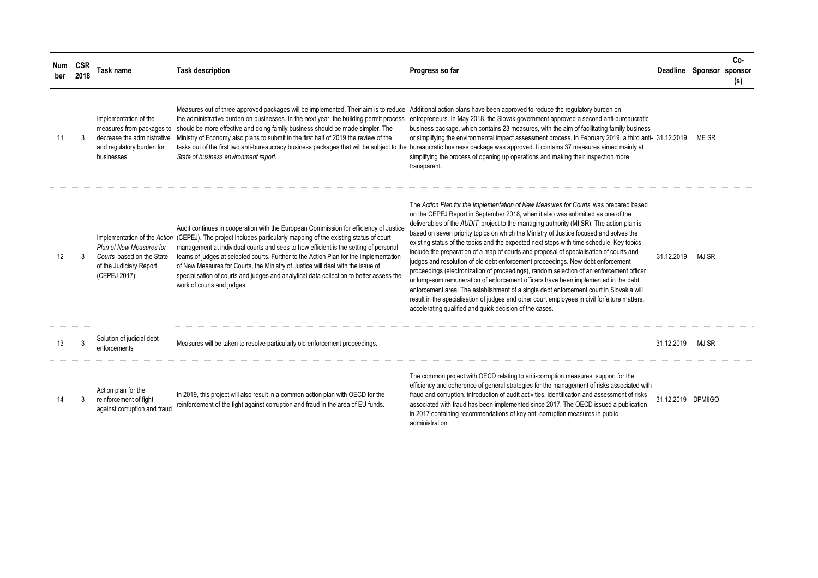| Num<br>ber | CSR<br>2018  | <b>Task name</b>                                                                                                              | <b>Task description</b>                                                                                                                                                                                                                                                                                                                                                                                                                                                                                                                                                                               | Progress so far                                                                                                                                                                                                                                                                                                                                                                                                                                                                                                                                                                                                                                                                                                                                                                                                                                                                                                                                                                                                                                                                 | Deadline Sponsor sponsor |       | Co-<br>(s) |
|------------|--------------|-------------------------------------------------------------------------------------------------------------------------------|-------------------------------------------------------------------------------------------------------------------------------------------------------------------------------------------------------------------------------------------------------------------------------------------------------------------------------------------------------------------------------------------------------------------------------------------------------------------------------------------------------------------------------------------------------------------------------------------------------|---------------------------------------------------------------------------------------------------------------------------------------------------------------------------------------------------------------------------------------------------------------------------------------------------------------------------------------------------------------------------------------------------------------------------------------------------------------------------------------------------------------------------------------------------------------------------------------------------------------------------------------------------------------------------------------------------------------------------------------------------------------------------------------------------------------------------------------------------------------------------------------------------------------------------------------------------------------------------------------------------------------------------------------------------------------------------------|--------------------------|-------|------------|
| 11         | $\mathbf{3}$ | Implementation of the<br>measures from packages to<br>decrease the administrative<br>and regulatory burden for<br>businesses. | Measures out of three approved packages will be implemented. Their aim is to reduce Additional action plans have been approved to reduce the regulatory burden on<br>the administrative burden on businesses. In the next year, the building permit process<br>should be more effective and doing family business should be made simpler. The<br>Ministry of Economy also plans to submit in the first half of 2019 the review of the<br>State of business environment report.                                                                                                                        | entrepreneurs. In May 2018, the Slovak government approved a second anti-bureaucratic<br>business package, which contains 23 measures, with the aim of facilitating family business<br>or simplifying the environmental impact assessment process. In February 2019, a third anti- 31.12.2019<br>tasks out of the first two anti-bureaucracy business packages that will be subject to the bureaucratic business package was approved. It contains 37 measures aimed mainly at<br>simplifying the process of opening up operations and making their inspection more<br>transparent.                                                                                                                                                                                                                                                                                                                                                                                                                                                                                             |                          | ME SR |            |
| 12         | 3            | Plan of New Measures for<br>Courts based on the State<br>of the Judiciary Report<br>(CEPEJ 2017)                              | Audit continues in cooperation with the European Commission for efficiency of Justice<br>Implementation of the Action (CEPEJ). The project includes particularly mapping of the existing status of court<br>management at individual courts and sees to how efficient is the setting of personal<br>teams of judges at selected courts. Further to the Action Plan for the Implementation<br>of New Measures for Courts, the Ministry of Justice will deal with the issue of<br>specialisation of courts and judges and analytical data collection to better assess the<br>work of courts and judges. | The Action Plan for the Implementation of New Measures for Courts was prepared based<br>on the CEPEJ Report in September 2018, when it also was submitted as one of the<br>deliverables of the AUDIT project to the managing authority (MI SR). The action plan is<br>based on seven priority topics on which the Ministry of Justice focused and solves the<br>existing status of the topics and the expected next steps with time schedule. Key topics<br>include the preparation of a map of courts and proposal of specialisation of courts and<br>judges and resolution of old debt enforcement proceedings. New debt enforcement<br>proceedings (electronization of proceedings), random selection of an enforcement officer<br>or lump-sum remuneration of enforcement officers have been implemented in the debt<br>enforcement area. The establishment of a single debt enforcement court in Slovakia will<br>result in the specialisation of judges and other court employees in civil forfeiture matters,<br>accelerating qualified and quick decision of the cases. | 31.12.2019               | MJ SR |            |
| 13         | $\mathbf{3}$ | Solution of judicial debt<br>enforcements                                                                                     | Measures will be taken to resolve particularly old enforcement proceedings.                                                                                                                                                                                                                                                                                                                                                                                                                                                                                                                           |                                                                                                                                                                                                                                                                                                                                                                                                                                                                                                                                                                                                                                                                                                                                                                                                                                                                                                                                                                                                                                                                                 | 31.12.2019               | MJ SR |            |
| 14         | 3            | Action plan for the<br>reinforcement of fight<br>against corruption and fraud                                                 | In 2019, this project will also result in a common action plan with OECD for the<br>reinforcement of the fight against corruption and fraud in the area of EU funds.                                                                                                                                                                                                                                                                                                                                                                                                                                  | The common project with OECD relating to anti-corruption measures, support for the<br>efficiency and coherence of general strategies for the management of risks associated with<br>fraud and corruption, introduction of audit activities, identification and assessment of risks<br>associated with fraud has been implemented since 2017. The OECD issued a publication<br>in 2017 containing recommendations of key anti-corruption measures in public<br>administration.                                                                                                                                                                                                                                                                                                                                                                                                                                                                                                                                                                                                   | 31.12.2019 DPMIIGO       |       |            |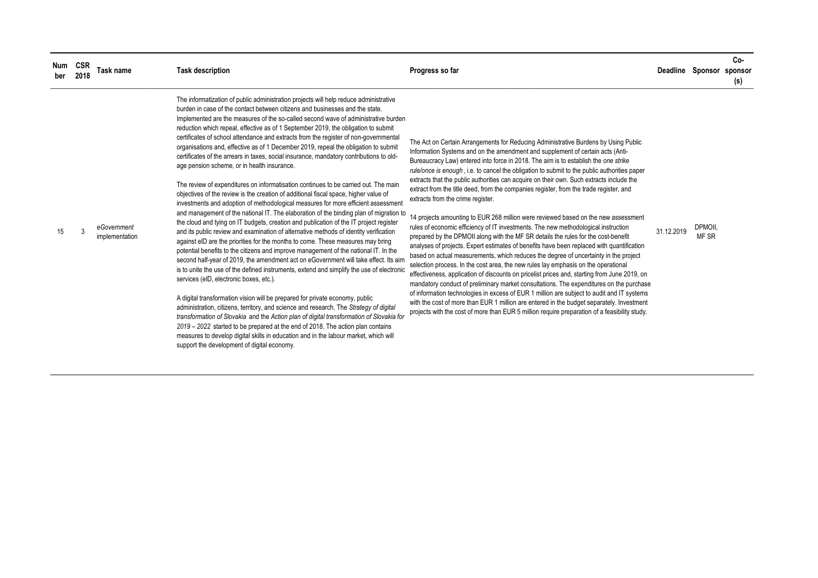| Num<br>ber | CSR<br>2018 | Task name                     | <b>Task description</b>                                                                                                                                                                                                                                                                                                                                                                                                                                                                                                                                                                                                                                                                                                                                                                                                                                                                                                                                                                                                                                                                                                                                                                                                                                                                                                                                                                                                                                                                                                                                                                                                                                                                                                                                                                                                                                                                                                                                                                                                                                                                                                                | Progress so far                                                                                                                                                                                                                                                                                                                                                                                                                                                                                                                                                                                                                                                                                                                                                                                                                                                                                                                                                                                                                                                                                                                                                                                                                                                                                                                                                                                                                                                                                                                                                                                                             |            | Deadline Sponsor sponsor | Co-<br>(s) |
|------------|-------------|-------------------------------|----------------------------------------------------------------------------------------------------------------------------------------------------------------------------------------------------------------------------------------------------------------------------------------------------------------------------------------------------------------------------------------------------------------------------------------------------------------------------------------------------------------------------------------------------------------------------------------------------------------------------------------------------------------------------------------------------------------------------------------------------------------------------------------------------------------------------------------------------------------------------------------------------------------------------------------------------------------------------------------------------------------------------------------------------------------------------------------------------------------------------------------------------------------------------------------------------------------------------------------------------------------------------------------------------------------------------------------------------------------------------------------------------------------------------------------------------------------------------------------------------------------------------------------------------------------------------------------------------------------------------------------------------------------------------------------------------------------------------------------------------------------------------------------------------------------------------------------------------------------------------------------------------------------------------------------------------------------------------------------------------------------------------------------------------------------------------------------------------------------------------------------|-----------------------------------------------------------------------------------------------------------------------------------------------------------------------------------------------------------------------------------------------------------------------------------------------------------------------------------------------------------------------------------------------------------------------------------------------------------------------------------------------------------------------------------------------------------------------------------------------------------------------------------------------------------------------------------------------------------------------------------------------------------------------------------------------------------------------------------------------------------------------------------------------------------------------------------------------------------------------------------------------------------------------------------------------------------------------------------------------------------------------------------------------------------------------------------------------------------------------------------------------------------------------------------------------------------------------------------------------------------------------------------------------------------------------------------------------------------------------------------------------------------------------------------------------------------------------------------------------------------------------------|------------|--------------------------|------------|
| 15         | 3           | eGovernment<br>implementation | The informatization of public administration projects will help reduce administrative<br>burden in case of the contact between citizens and businesses and the state.<br>Implemented are the measures of the so-called second wave of administrative burden<br>reduction which repeal, effective as of 1 September 2019, the obligation to submit<br>certificates of school attendance and extracts from the register of non-governmental<br>organisations and, effective as of 1 December 2019, repeal the obligation to submit<br>certificates of the arrears in taxes, social insurance, mandatory contributions to old-<br>age pension scheme, or in health insurance.<br>The review of expenditures on informatisation continues to be carried out. The main<br>objectives of the review is the creation of additional fiscal space, higher value of<br>investments and adoption of methodological measures for more efficient assessment<br>and management of the national IT. The elaboration of the binding plan of migration to<br>the cloud and tying on IT budgets, creation and publication of the IT project register<br>and its public review and examination of alternative methods of identity verification<br>against eID are the priorities for the months to come. These measures may bring<br>potential benefits to the citizens and improve management of the national IT. In the<br>second half-year of 2019, the amendment act on eGovernment will take effect. Its aim<br>is to unite the use of the defined instruments, extend and simplify the use of electronic<br>services (eID, electronic boxes, etc.).<br>A digital transformation vision will be prepared for private economy, public<br>administration, citizens, territory, and science and research. The Strategy of digital<br>transformation of Slovakia and the Action plan of digital transformation of Slovakia for<br>2019 – 2022 started to be prepared at the end of 2018. The action plan contains<br>measures to develop digital skills in education and in the labour market, which will<br>support the development of digital economy. | The Act on Certain Arrangements for Reducing Administrative Burdens by Using Public<br>Information Systems and on the amendment and supplement of certain acts (Anti-<br>Bureaucracy Law) entered into force in 2018. The aim is to establish the one strike<br>rule/once is enough, i.e. to cancel the obligation to submit to the public authorities paper<br>extracts that the public authorities can acquire on their own. Such extracts include the<br>extract from the title deed, from the companies register, from the trade register, and<br>extracts from the crime register.<br>14 projects amounting to EUR 268 million were reviewed based on the new assessment<br>rules of economic efficiency of IT investments. The new methodological instruction<br>prepared by the DPMOII along with the MF SR details the rules for the cost-benefit<br>analyses of projects. Expert estimates of benefits have been replaced with quantification<br>based on actual measurements, which reduces the degree of uncertainty in the project<br>selection process. In the cost area, the new rules lay emphasis on the operational<br>effectiveness, application of discounts on pricelist prices and, starting from June 2019, on<br>mandatory conduct of preliminary market consultations. The expenditures on the purchase<br>of information technologies in excess of EUR 1 million are subject to audit and IT systems<br>with the cost of more than EUR 1 million are entered in the budget separately. Investment<br>projects with the cost of more than EUR 5 million require preparation of a feasibility study. | 31.12.2019 | DPMOII.<br>MF SR         |            |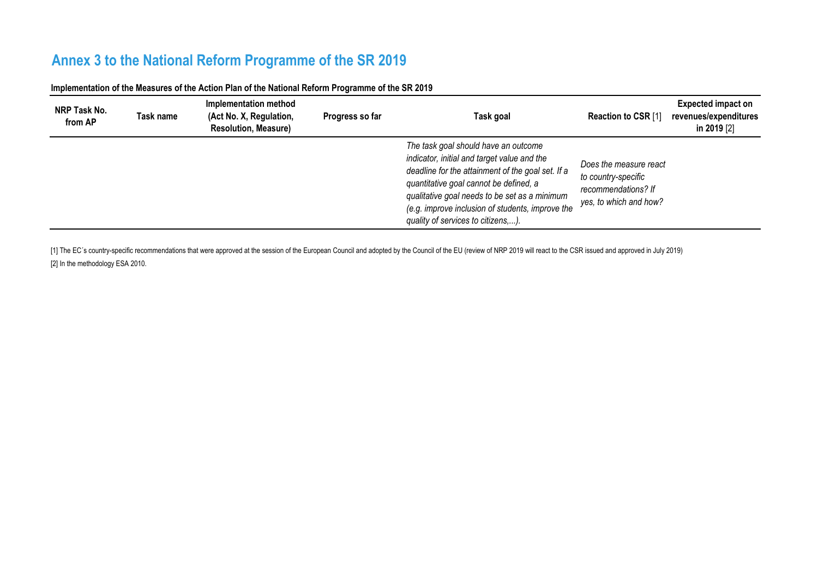# **Annex 3 to the National Reform Programme of the SR 2019**

| NRP Task No.<br>from AP | Task name | Implementation method<br>(Act No. X, Regulation,<br><b>Resolution, Measure)</b> | Progress so far | Task goal                                                                                                                                                                                                                                                                                                                     | Reaction to CSR [1]                                                                            | <b>Expected impact on</b><br>revenues/expenditures<br>in 2019 [2] |
|-------------------------|-----------|---------------------------------------------------------------------------------|-----------------|-------------------------------------------------------------------------------------------------------------------------------------------------------------------------------------------------------------------------------------------------------------------------------------------------------------------------------|------------------------------------------------------------------------------------------------|-------------------------------------------------------------------|
|                         |           |                                                                                 |                 | The task goal should have an outcome<br>indicator, initial and target value and the<br>deadline for the attainment of the goal set. If a<br>quantitative goal cannot be defined, a<br>qualitative goal needs to be set as a minimum<br>(e.g. improve inclusion of students, improve the<br>quality of services to citizens,). | Does the measure react<br>to country-specific<br>recommendations? If<br>yes, to which and how? |                                                                   |

**Implementation of the Measures of the Action Plan of the National Reform Programme of the SR 2019**

[1] The EC's country-specific recommendations that were approved at the session of the European Council and adopted by the Council of the EU (review of NRP 2019 will react to the CSR issued and approved in July 2019) [2] In the methodology ESA 2010.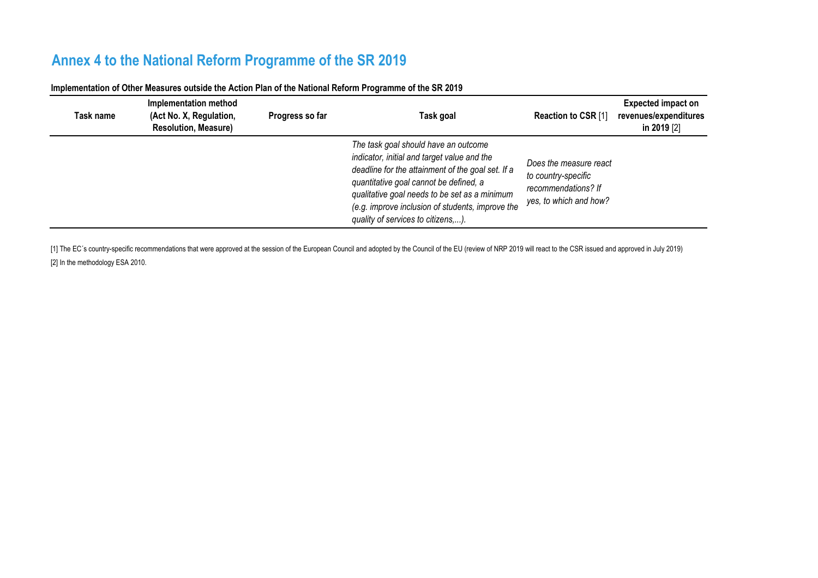## **Annex 4 to the National Reform Programme of the SR 2019**

| Task name | Implementation method<br>(Act No. X, Regulation,<br><b>Resolution, Measure)</b> | Progress so far | Task goal                                                                                                                                                                                                                                                                                                                     | Reaction to CSR [1]                                                                            | <b>Expected impact on</b><br>revenues/expenditures<br>in 2019 [2] |
|-----------|---------------------------------------------------------------------------------|-----------------|-------------------------------------------------------------------------------------------------------------------------------------------------------------------------------------------------------------------------------------------------------------------------------------------------------------------------------|------------------------------------------------------------------------------------------------|-------------------------------------------------------------------|
|           |                                                                                 |                 | The task goal should have an outcome<br>indicator, initial and target value and the<br>deadline for the attainment of the goal set. If a<br>quantitative goal cannot be defined, a<br>qualitative goal needs to be set as a minimum<br>(e.g. improve inclusion of students, improve the<br>quality of services to citizens,). | Does the measure react<br>to country-specific<br>recommendations? If<br>yes, to which and how? |                                                                   |

### **Implementation of Other Measures outside the Action Plan of the National Reform Programme of the SR 2019**

[1] The EC's country-specific recommendations that were approved at the session of the European Council and adopted by the Council of the EU (review of NRP 2019 will react to the CSR issued and approved in July 2019) [2] In the methodology ESA 2010.